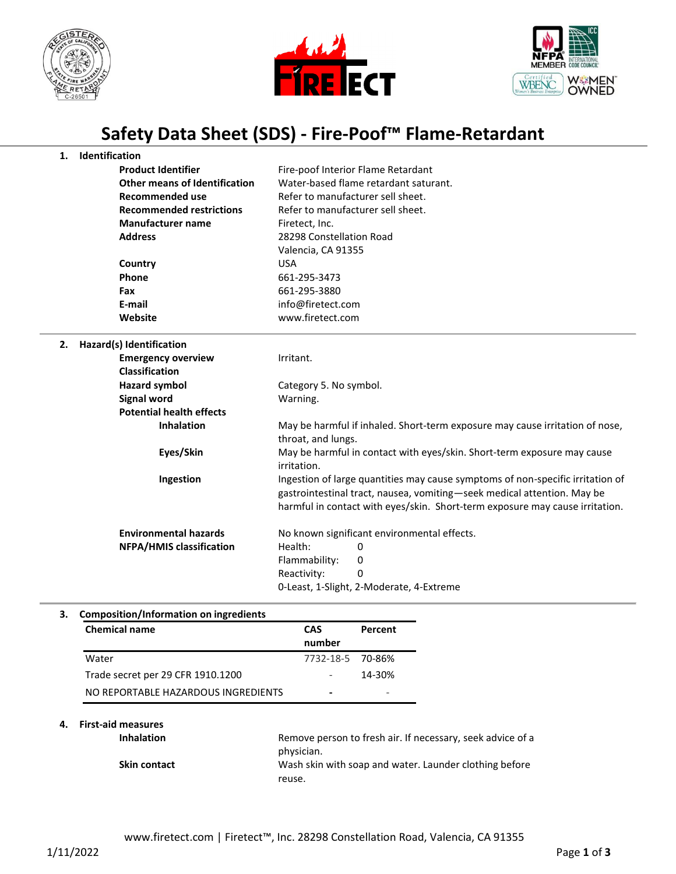





## **Safety Data Sheet (SDS) - Fire-Poof™ Flame-Retardant**

| 1. | Identification                       |                                                                                                                                                                                                                                           |
|----|--------------------------------------|-------------------------------------------------------------------------------------------------------------------------------------------------------------------------------------------------------------------------------------------|
|    | <b>Product Identifier</b>            | Fire-poof Interior Flame Retardant                                                                                                                                                                                                        |
|    | <b>Other means of Identification</b> | Water-based flame retardant saturant.                                                                                                                                                                                                     |
|    | <b>Recommended use</b>               | Refer to manufacturer sell sheet.                                                                                                                                                                                                         |
|    | <b>Recommended restrictions</b>      | Refer to manufacturer sell sheet.                                                                                                                                                                                                         |
|    | <b>Manufacturer name</b>             | Firetect, Inc.                                                                                                                                                                                                                            |
|    | <b>Address</b>                       | 28298 Constellation Road                                                                                                                                                                                                                  |
|    |                                      | Valencia, CA 91355                                                                                                                                                                                                                        |
|    | Country                              | <b>USA</b>                                                                                                                                                                                                                                |
|    | Phone                                | 661-295-3473                                                                                                                                                                                                                              |
|    | Fax                                  | 661-295-3880                                                                                                                                                                                                                              |
|    | E-mail                               | info@firetect.com                                                                                                                                                                                                                         |
|    | Website                              | www.firetect.com                                                                                                                                                                                                                          |
| 2. | Hazard(s) Identification             |                                                                                                                                                                                                                                           |
|    | <b>Emergency overview</b>            | Irritant.                                                                                                                                                                                                                                 |
|    | <b>Classification</b>                |                                                                                                                                                                                                                                           |
|    | <b>Hazard symbol</b>                 | Category 5. No symbol.                                                                                                                                                                                                                    |
|    | <b>Signal word</b>                   | Warning.                                                                                                                                                                                                                                  |
|    | <b>Potential health effects</b>      |                                                                                                                                                                                                                                           |
|    | <b>Inhalation</b>                    | May be harmful if inhaled. Short-term exposure may cause irritation of nose,                                                                                                                                                              |
|    |                                      | throat, and lungs.                                                                                                                                                                                                                        |
|    | Eyes/Skin                            | May be harmful in contact with eyes/skin. Short-term exposure may cause<br>irritation.                                                                                                                                                    |
|    | Ingestion                            | Ingestion of large quantities may cause symptoms of non-specific irritation of<br>gastrointestinal tract, nausea, vomiting-seek medical attention. May be<br>harmful in contact with eyes/skin. Short-term exposure may cause irritation. |
|    | <b>Environmental hazards</b>         | No known significant environmental effects.                                                                                                                                                                                               |
|    | <b>NFPA/HMIS classification</b>      | Health:<br>0                                                                                                                                                                                                                              |
|    |                                      | Flammability:<br>0                                                                                                                                                                                                                        |
|    |                                      | Reactivity:<br>0                                                                                                                                                                                                                          |
|    |                                      | 0-Least, 1-Slight, 2-Moderate, 4-Extreme                                                                                                                                                                                                  |

## **3. Composition/Information on ingredients**

| <b>Chemical name</b>                | <b>CAS</b>       | Percent |
|-------------------------------------|------------------|---------|
|                                     | number           |         |
| Water                               | 7732-18-5 70-86% |         |
| Trade secret per 29 CFR 1910.1200   |                  | 14-30%  |
| NO REPORTABLE HAZARDOUS INGREDIENTS |                  |         |

## **4. First-aid measures**

| <b>Inhalation</b>   | Remove person to fresh air. If necessary, seek advice of a |
|---------------------|------------------------------------------------------------|
|                     | physician.                                                 |
| <b>Skin contact</b> | Wash skin with soap and water. Launder clothing before     |
|                     | reuse.                                                     |
|                     |                                                            |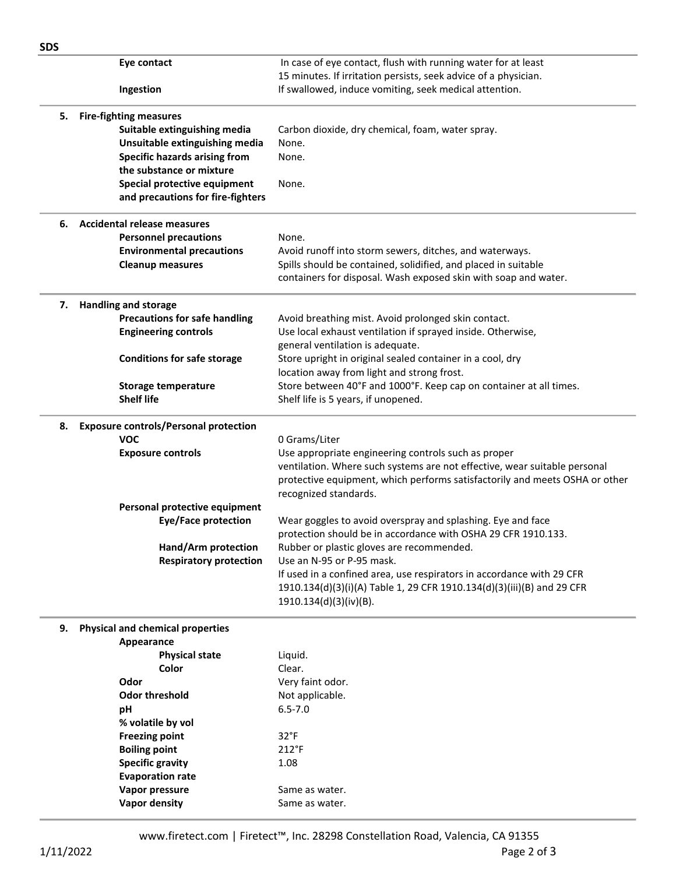| <b>SDS</b> |                                              |                                                                                                      |
|------------|----------------------------------------------|------------------------------------------------------------------------------------------------------|
|            | Eye contact                                  | In case of eye contact, flush with running water for at least                                        |
|            |                                              | 15 minutes. If irritation persists, seek advice of a physician.                                      |
|            | Ingestion                                    | If swallowed, induce vomiting, seek medical attention.                                               |
| 5.         | <b>Fire-fighting measures</b>                |                                                                                                      |
|            | Suitable extinguishing media                 | Carbon dioxide, dry chemical, foam, water spray.                                                     |
|            | Unsuitable extinguishing media               | None.                                                                                                |
|            | <b>Specific hazards arising from</b>         | None.                                                                                                |
|            | the substance or mixture                     |                                                                                                      |
|            | Special protective equipment                 | None.                                                                                                |
|            | and precautions for fire-fighters            |                                                                                                      |
| 6.         | <b>Accidental release measures</b>           |                                                                                                      |
|            | <b>Personnel precautions</b>                 | None.                                                                                                |
|            | <b>Environmental precautions</b>             | Avoid runoff into storm sewers, ditches, and waterways.                                              |
|            | <b>Cleanup measures</b>                      | Spills should be contained, solidified, and placed in suitable                                       |
|            |                                              | containers for disposal. Wash exposed skin with soap and water.                                      |
| 7.         | <b>Handling and storage</b>                  |                                                                                                      |
|            | <b>Precautions for safe handling</b>         | Avoid breathing mist. Avoid prolonged skin contact.                                                  |
|            | <b>Engineering controls</b>                  | Use local exhaust ventilation if sprayed inside. Otherwise,                                          |
|            |                                              | general ventilation is adequate.                                                                     |
|            | <b>Conditions for safe storage</b>           | Store upright in original sealed container in a cool, dry                                            |
|            |                                              | location away from light and strong frost.                                                           |
|            | <b>Storage temperature</b>                   | Store between 40°F and 1000°F. Keep cap on container at all times.                                   |
|            | <b>Shelf life</b>                            | Shelf life is 5 years, if unopened.                                                                  |
| 8.         | <b>Exposure controls/Personal protection</b> |                                                                                                      |
|            | <b>VOC</b>                                   | 0 Grams/Liter                                                                                        |
|            | <b>Exposure controls</b>                     | Use appropriate engineering controls such as proper                                                  |
|            |                                              | ventilation. Where such systems are not effective, wear suitable personal                            |
|            |                                              | protective equipment, which performs satisfactorily and meets OSHA or other<br>recognized standards. |
|            | Personal protective equipment                |                                                                                                      |
|            | <b>Eye/Face protection</b>                   | Wear goggles to avoid overspray and splashing. Eye and face                                          |
|            |                                              | protection should be in accordance with OSHA 29 CFR 1910.133.                                        |
|            | Hand/Arm protection                          | Rubber or plastic gloves are recommended.                                                            |
|            | <b>Respiratory protection</b>                | Use an N-95 or P-95 mask.                                                                            |
|            |                                              | If used in a confined area, use respirators in accordance with 29 CFR                                |
|            |                                              | 1910.134(d)(3)(i)(A) Table 1, 29 CFR 1910.134(d)(3)(iii)(B) and 29 CFR                               |
|            |                                              | 1910.134(d)(3)(iv)(B).                                                                               |
| 9.         | <b>Physical and chemical properties</b>      |                                                                                                      |
|            | Appearance                                   |                                                                                                      |
|            | <b>Physical state</b>                        | Liquid.                                                                                              |
|            | Color                                        | Clear.                                                                                               |
|            | Odor                                         | Very faint odor.                                                                                     |
|            | <b>Odor threshold</b>                        | Not applicable.                                                                                      |
|            | рH                                           | $6.5 - 7.0$                                                                                          |
|            | % volatile by vol                            |                                                                                                      |
|            | <b>Freezing point</b>                        | $32^{\circ}F$                                                                                        |
|            | <b>Boiling point</b>                         | $212^{\circ}F$                                                                                       |
|            | <b>Specific gravity</b>                      | 1.08                                                                                                 |
|            | <b>Evaporation rate</b>                      |                                                                                                      |
|            | Vapor pressure                               | Same as water.                                                                                       |
|            | <b>Vapor density</b>                         | Same as water.                                                                                       |
|            |                                              |                                                                                                      |